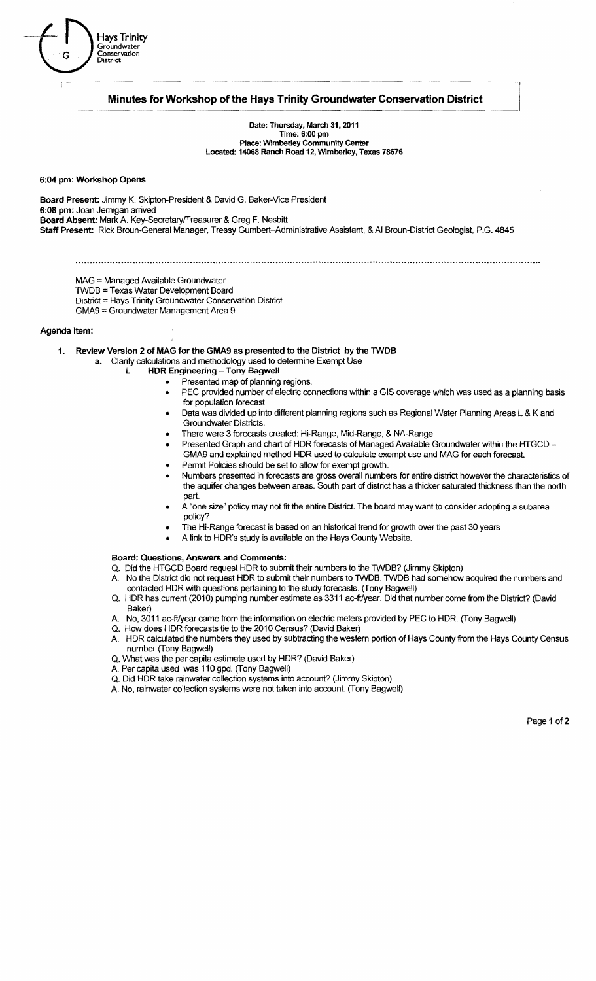

# **Minutes for Workshop of the Hays Trinity Groundwater Conservation District**

Date: Thursday, March 31, 2011 Time: 6:00 pm Place: Wimberley Community Center Located: 14068 Ranch Road 12, Wimberley, Texas 78676

#### 6:04 pm: Workshop Opens

Board Present: Jimmy K. Skipton-President & David G. Baker-Vice President 6:08 pm: Joan Jemigan arrived Board Absent: Mark A. Key-Secretary/Treasurer & Greg F. Nesbitt Staff Present: Rick Broun-General Manager, Tressy Gumbert-Administrative Assistant, & AI Broun-District Geologist, P.G. 4845

- MAG = Managed Available Groundwater
- TWDB =Texas Water Development Board
- District == Hays Trinity Groundwater Conservation District
- GMA9 = Groundwater Management Area 9

## Agenda Item:

1. Review Version 2 of MAG for the GMA9 as presented to the District by the TWDB

- a. Clarify calculations and methodology used to determine Exempt Use
	- i. HDR Engineering Tony Bagwell
		- Presented map of planning regions.
			- PEC provided number of electric connections within a GIS coverage which was used as a planning basis for population forecast
		- Data was divided up into different planning regions such as Regional Water Planning Areas L & K and Groundwater Districts.
		- There were 3 forecasts created: Hi-Range, Mid-Range, & NA-Range
		- Presented Graph and chart of HDR forecasts of Managed Available Groundwater within the HTGCD -GMA9 and explained method HDR used to calculate exempt use and MAG for each forecast.
		- Permit Policies should be set to allow for exempt growth. Numbers presented in forecasts are gross overall numbers for entire district however the characteristics of
		- the aquifer changes between areas. South part of district has a thicker saturated thickness than the north part.
		- A "one size" policy may not fit the entire District. The board may want to consider adopting a subarea policy?
		- The Hi-Range forecast is based on an historical trend for growth over the past 30 years
			- A link to HDR's study is available on the Hays County Website.

#### Board: Questions, Answers and Comments:

- Q. Did the HTGCD Board request HDR to submit their numbers to the TWDB? (Jimmy Skipton)
- A. No the District did not request HDR to submit their numbers to TWDB. TWDB had somehow acquired the numbers and contacted HDR with questions pertaining to the study forecasts. (Tony Bagwell)
- Q. HDR has current (2010) pumping number estimate as 3311 ac-ft/year. Did that number come from the District? (David Baker)
- A. No, 3011 ac-ft/year came from the information on electric meters provided by PEC to HDR. (Tony Bagwell)
- Q. How does HDR forecasts tie to the 2010 Census? (David Baker)
- A. HDR calculated the numbers they used by subtracting the western portion of Hays County from the Hays County Census number (Tony Bagwell)
- Q. What was the per capita estimate used by HDR? (David Baker)
- A. Per capita used was 110 gpd. (Tony Bagwell)
- Q. Did HDR take rainwater collection systems into account? (Jimmy Skipton)
- A. No, rainwater collection systems were not taken into account (Tony Bagwell)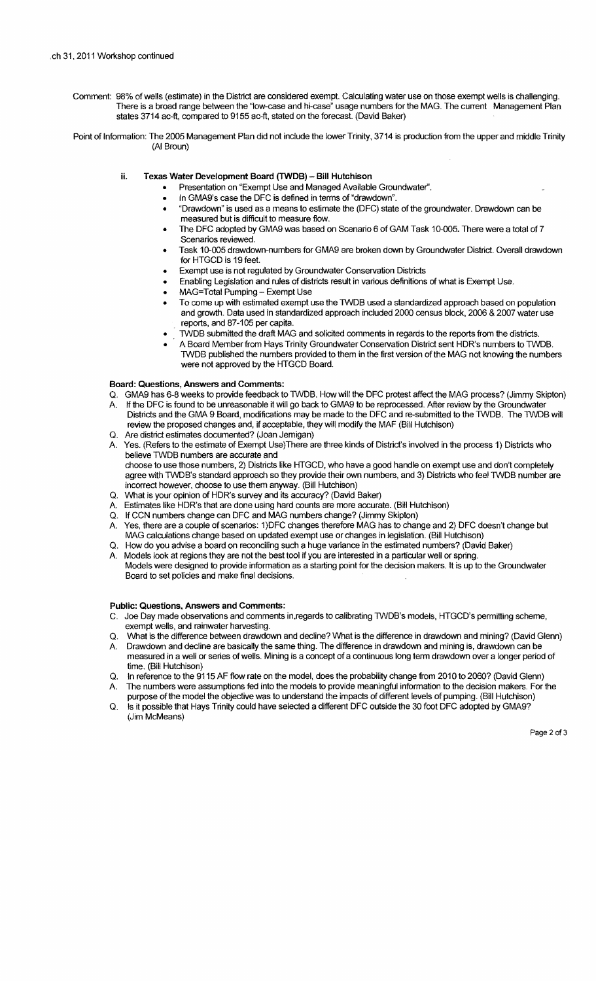Comment: 98% of wells (estimate) in the District are considered exempt. Calculating water use on those exempt wells is challenging. There is a broad range between the "low-case and hi-case" usage numbers for the MAG. The current Management Plan states 3714 ac-ft, compared to 9155 ac-ft, stated on the forecast. (David Baker)

Point of Information: The 2005 Management Plan did not include the lower Trinity, 3714 is production from the upper and middle Trinity (AI Broun)

- ii. Texas Water Development Board (TWDB) Bill Hutchison
	- Presentation on "Exempt Use and Managed Available Groundwater".
	- In GMA9's case the DFC is defined in terms of "drawdown".
	- "Drawdown" is used as a means to estimate the (DFC) state of the groundwater. Drawdown can be measured but is difficult to measure flow.
	- The DFC adopted by GMA9 was based on Scenario 6 of GAM Task 10-005. There were a total of 7 Scenarios reviewed.
	- Task 10-005 drawdown-numbers for GMA9 are broken down by Groundwater District. Overall drawdown for HTGCD is 19 feet.
	- Exempt use is not regulated by Groundwater Conservation Districts
	- Enabling Legislation and rules of districts result in various definitions of what is Exempt Use.
	- MAG=Total Pumping Exempt Use
	- To come up with estimated exempt use the TWDB used a standardized approach based on population and growth. Data used in standardized approach included 2000 census block, 2006 & 2007 water use reports, and 87-105 per capita.
	- TWDB submitted the draft MAG and solicited comments in regards to the reports from the districts.
	- A Board Member from Hays Trinity Groundwater Conservation District sent HDR's numbers to TWDB. TWDB published the numbers provided to them in the first version of the MAG not knowing the numbers were not approved by the HTGCD Board.

## Board: Questions, Answers and Comments:

- Q. GMA9 has 6-8 weeks to provide feedback to TWDB. How will the DFC protest affect the MAG process? (Jimmy Skipton)
- A. If the DFC is found to be unreasonable it will go back to GMA9 to be reprocessed. After review by the Groundwater Districts and the GMA 9 Board, modifications may be made to the DFC and re-submitted to the TWDB. The TWDB will review the proposed changes and, if acceptable, they will modify the MAF (Bill Hutchison)
- Q. Are district estimates documented? (Joan Jemigan)
- Yes. (Refers to the estimate of Exempt Use)There are three kinds of District's involved in the process 1) Districts who believe TWDB numbers are accurate and choose to use those numbers, 2) Districts like HTGCD, who have a good handle on exempt use and don't completely agree with TWDB's standard approach so they provide their own numbers, and 3) Districts who feel TWDB number are incorrect however, choose to use them anyway. (Bill Hutchison)
- Q. What is your opinion of HDR's survey and its accuracy? (David Baker)
- Estimates like HDR's that are done using hard counts are more accurate. (Bill Hutchison)
- Q. If CCN numbers change can DFC and MAG numbers change? (Jimmy Skipton)
- A. Yes, there are a couple of scenarios: 1)DFC changes therefore MAG has to change and 2) DFC doesn't change but MAG calculations change based on updated exempt use or changes in legislation. (Bill Hutchison)
- Q. How do you advise a board on reconciling such a huge variance in the estimated numbers? (David Baker)
- Models look at regions they are not the best tool if you are interested in a particular well or spring. Models were designed to provide information as a starting point for the decision makers. It is up to the Groundwater Board to set policies and make final decisions.

### Public: Questions, Answers and Comments:

- C. Joe Day made observations and comments in, regards to calibrating TWDB's models, HTGCD's permitting scheme, exempt wells, and rainwater harvesting.
- O. What is the difference between drawdown and decline? What is the difference in drawdown and mining? (David Glenn)
- A. Drawdown and decline are basically the same thing. The difference in drawdown and mining is, drawdown can be measured in a well or series of wells. Mining is a concept of a continuous long term drawdown over a longer period of time. (Bill Hutchison)
- Q. In reference to the 9115 AF flow rate on the model, does the probability change from 2010 to 2060? (David Glenn) The numbers were assumptions fed into the models to provide meaningful information to the decision makers. For the
- purpose of the model the objective was to understand the impacts of different levels of pumping. (Bill Hutchison) Q. Is it possible that Hays Trinity could have selected a different DFC outside the 30 foot DFC adopted by GMA9?
- (Jim McMeans)